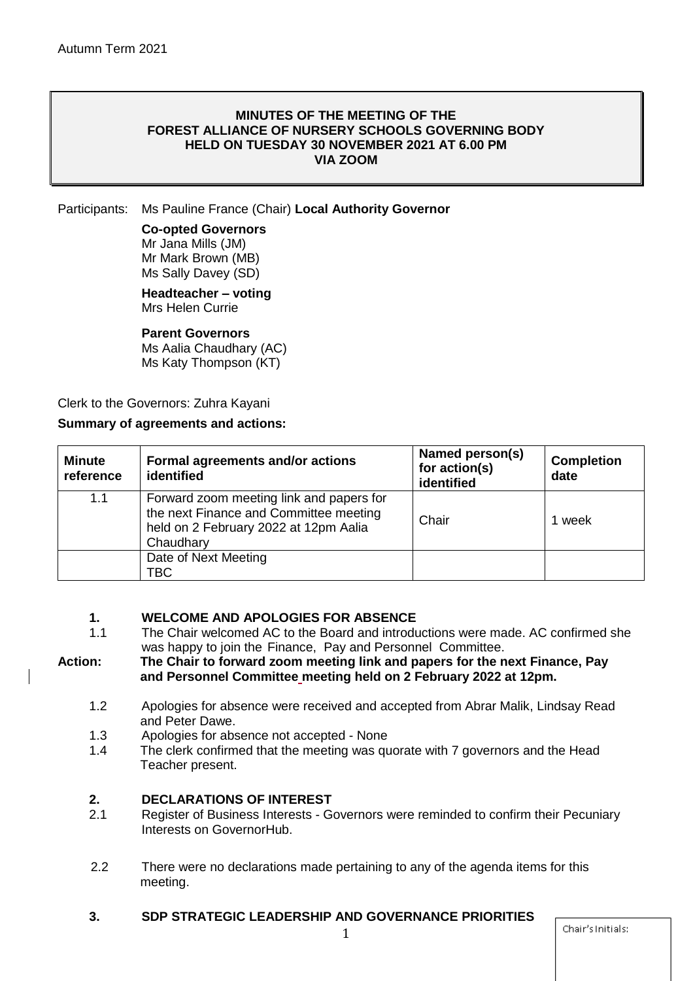#### **MINUTES OF THE MEETING OF THE FOREST ALLIANCE OF NURSERY SCHOOLS GOVERNING BODY HELD ON TUESDAY 30 NOVEMBER 2021 AT 6.00 PM VIA ZOOM**

Participants: Ms Pauline France (Chair) **Local Authority Governor**

# **Co-opted Governors**

Mr Jana Mills (JM) Mr Mark Brown (MB) Ms Sally Davey (SD)

**Headteacher – voting** Mrs Helen Currie

#### **Parent Governors**

Ms Aalia Chaudhary (AC) Ms Katy Thompson (KT)

Clerk to the Governors: Zuhra Kayani

#### **Summary of agreements and actions:**

| <b>Minute</b><br>reference | Formal agreements and/or actions<br>identified                                                                                           | Named person(s)<br>for action(s)<br>identified | <b>Completion</b><br>date |
|----------------------------|------------------------------------------------------------------------------------------------------------------------------------------|------------------------------------------------|---------------------------|
| 1.1                        | Forward zoom meeting link and papers for<br>the next Finance and Committee meeting<br>held on 2 February 2022 at 12pm Aalia<br>Chaudhary | Chair                                          | 1 week                    |
|                            | Date of Next Meeting<br>TBC.                                                                                                             |                                                |                           |

# **1. WELCOME AND APOLOGIES FOR ABSENCE**

1.1 The Chair welcomed AC to the Board and introductions were made. AC confirmed she was happy to join the Finance, Pay and Personnel Committee.

#### **Action: The Chair to forward zoom meeting link and papers for the next Finance, Pay and Personnel Committee meeting held on 2 February 2022 at 12pm.**

- 1.2 Apologies for absence were received and accepted from Abrar Malik, Lindsay Read and Peter Dawe.
- 1.3 Apologies for absence not accepted None
- 1.4 The clerk confirmed that the meeting was quorate with 7 governors and the Head Teacher present.

## **2. DECLARATIONS OF INTEREST**

- 2.1 Register of Business Interests Governors were reminded to confirm their Pecuniary Interests on GovernorHub.
- 2.2 There were no declarations made pertaining to any of the agenda items for this meeting.

# **3. SDP STRATEGIC LEADERSHIP AND GOVERNANCE PRIORITIES**

Chair's Initials: